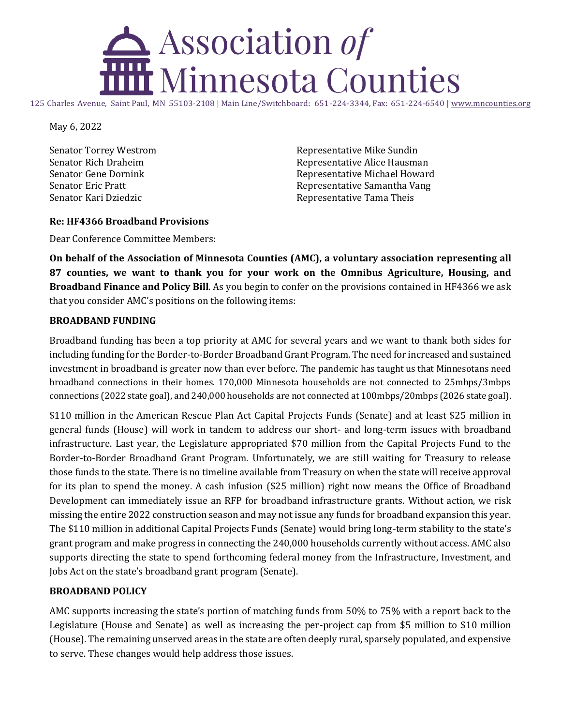## . Association of **Minnesota Counties**

125 Charles Avenue, Saint Paul, MN 55103-2108 | Main Line/Switchboard: 651-224-3344, Fax: 651-224-6540 [| www.mncounties.org](http://www.mncounties.org/)

May 6, 2022

Senator Torrey Westrom Senator Rich Draheim Senator Gene Dornink Senator Eric Pratt Senator Kari Dziedzic

Representative Mike Sundin Representative Alice Hausman Representative Michael Howard Representative Samantha Vang Representative Tama Theis

## **Re: HF4366 Broadband Provisions**

Dear Conference Committee Members:

**On behalf of the Association of Minnesota Counties (AMC), a voluntary association representing all 87 counties, we want to thank you for your work on the Omnibus Agriculture, Housing, and Broadband Finance and Policy Bill**. As you begin to confer on the provisions contained in HF4366 we ask that you consider AMC's positions on the following items:

## **BROADBAND FUNDING**

Broadband funding has been a top priority at AMC for several years and we want to thank both sides for including funding for the Border-to-Border Broadband Grant Program. The need for increased and sustained investment in broadband is greater now than ever before. The pandemic has taught us that Minnesotans need broadband connections in their homes. 170,000 Minnesota households are not connected to 25mbps/3mbps connections (2022 state goal), and 240,000 households are not connected at 100mbps/20mbps (2026 state goal).

\$110 million in the American Rescue Plan Act Capital Projects Funds (Senate) and at least \$25 million in general funds (House) will work in tandem to address our short- and long-term issues with broadband infrastructure. Last year, the Legislature appropriated \$70 million from the Capital Projects Fund to the Border-to-Border Broadband Grant Program. Unfortunately, we are still waiting for Treasury to release those funds to the state. There is no timeline available from Treasury on when the state will receive approval for its plan to spend the money. A cash infusion (\$25 million) right now means the Office of Broadband Development can immediately issue an RFP for broadband infrastructure grants. Without action, we risk missing the entire 2022 construction season and may not issue any funds for broadband expansion this year. The \$110 million in additional Capital Projects Funds (Senate) would bring long-term stability to the state's grant program and make progress in connecting the 240,000 households currently without access. AMC also supports directing the state to spend forthcoming federal money from the Infrastructure, Investment, and Jobs Act on the state's broadband grant program (Senate).

## **BROADBAND POLICY**

AMC supports increasing the state's portion of matching funds from 50% to 75% with a report back to the Legislature (House and Senate) as well as increasing the per-project cap from \$5 million to \$10 million (House). The remaining unserved areas in the state are often deeply rural, sparsely populated, and expensive to serve. These changes would help address those issues.